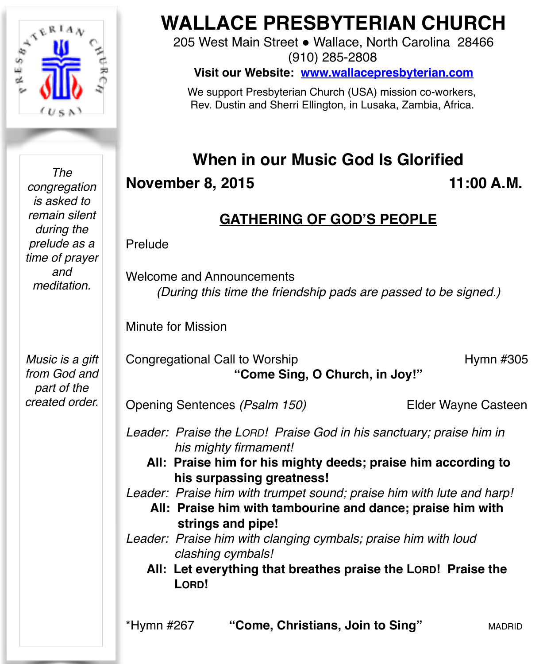

*The congregation is asked to remain silent during the prelude as a time of prayer and meditation.*

*Music is a gift from God and part of the created order.*

# **WALLACE PRESBYTERIAN CHURCH**

205 West Main Street . Wallace, North Carolina 28466 (910) 285-2808

**Visit our Website: [www.wallacepresbyterian.com](http://www.wallacepresbyterian.com)**

 We support Presbyterian Church (USA) mission co-workers, Rev. Dustin and Sherri Ellington, in Lusaka, Zambia, Africa.

# **When in our Music God Is Glorified**

**November 8, 2015 11:00 A.M.** 

# **GATHERING OF GOD'S PEOPLE**

Prelude

Welcome and Announcements *(During this time the friendship pads are passed to be signed.)*

Minute for Mission

Congregational Call to Worship **Hymn #305 "Come Sing, O Church, in Joy!"**

Opening Sentences *(Psalm 150)* Elder Wayne Casteen

Leader: Praise the LORD! Praise God in his sanctuary; praise him in  *his mighty firmament!* 

**All: Praise him for his mighty deeds; praise him according to his surpassing greatness!** 

*Leader: Praise him with trumpet sound; praise him with lute and harp!* 

**All: Praise him with tambourine and dance; praise him with strings and pipe!**

*Leader: Praise him with clanging cymbals; praise him with loud clashing cymbals!*

 **All: Let everything that breathes praise the LORD! Praise the LORD!**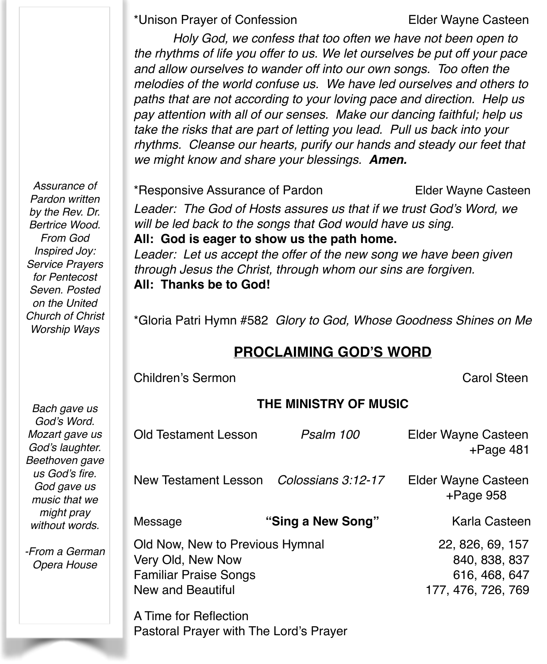\*Unison Prayer of Confession Elder Wayne Casteen

*Holy God, we confess that too often we have not been open to the rhythms of life you offer to us. We let ourselves be put off your pace and allow ourselves to wander off into our own songs. Too often the melodies of the world confuse us. We have led ourselves and others to paths that are not according to your loving pace and direction. Help us pay attention with all of our senses. Make our dancing faithful; help us take the risks that are part of letting you lead. Pull us back into your rhythms. Cleanse our hearts, purify our hands and steady our feet that we might know and share your blessings. Amen.*

*Assurance of Pardon written by the Rev. Dr. Bertrice Wood. From God Inspired Joy: Service Prayers for Pentecost Seven. Posted on the United Church of Christ Worship Ways*

*Bach gave us God's Word. Mozart gave us God's laughter. Beethoven gave us God's fire. God gave us music that we might pray without words.*

*-From a German Opera House*

\*Responsive Assurance of Pardon Elder Wayne Casteen *Leader: The God of Hosts assures us that if we trust God's Word, we will be led back to the songs that God would have us sing.* **All: God is eager to show us the path home.** *Leader: Let us accept the offer of the new song we have been given through Jesus the Christ, through whom our sins are forgiven.*  **All: Thanks be to God!**

\*Gloria Patri Hymn #582 *Glory to God, Whose Goodness Shines on Me*

### **PROCLAIMING GOD'S WORD**

Children's Sermon ! ! ! ! ! Carol Steen

#### **THE MINISTRY OF MUSIC**

| <b>Old Testament Lesson</b>                                                                               | Psalm 100          | Elder Wayne Casteen<br>$+$ Page 481                                      |
|-----------------------------------------------------------------------------------------------------------|--------------------|--------------------------------------------------------------------------|
| New Testament Lesson                                                                                      | Colossians 3:12-17 | Elder Wayne Casteen<br>$+$ Page 958                                      |
| Message                                                                                                   | "Sing a New Song"  | Karla Casteen                                                            |
| Old Now, New to Previous Hymnal<br>Very Old, New Now<br><b>Familiar Praise Songs</b><br>New and Beautiful |                    | 22, 826, 69, 157<br>840, 838, 837<br>616, 468, 647<br>177, 476, 726, 769 |
| A Time for Reflection                                                                                     |                    |                                                                          |

Pastoral Prayer with The Lord's Prayer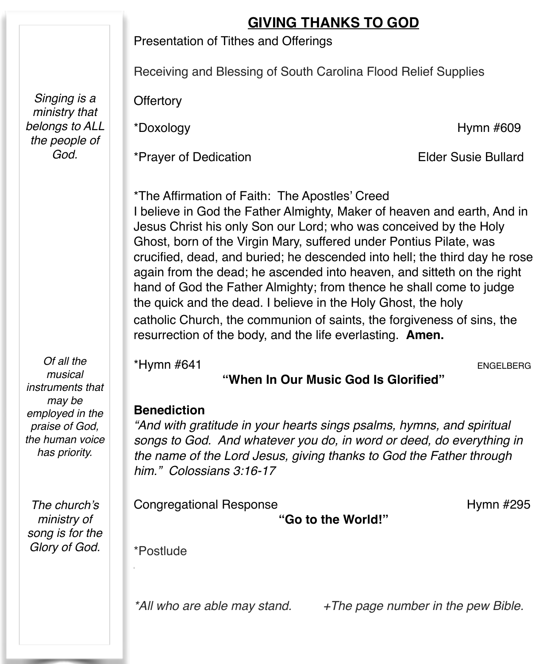## **GIVING THANKS TO GOD**

Presentation of Tithes and Offerings

Receiving and Blessing of South Carolina Flood Relief Supplies

**Offertory** 

\*Prayer of Dedication Elder Susie Bullard

\*Doxology Hymn #609

\*The Affirmation of Faith: The Apostles' Creed I believe in God the Father Almighty, Maker of heaven and earth, And in Jesus Christ his only Son our Lord; who was conceived by the Holy Ghost, born of the Virgin Mary, suffered under Pontius Pilate, was crucified, dead, and buried; he descended into hell; the third day he rose again from the dead; he ascended into heaven, and sitteth on the right hand of God the Father Almighty; from thence he shall come to judge the quick and the dead. I believe in the Holy Ghost, the holy catholic Church, the communion of saints, the forgiveness of sins, the resurrection of the body, and the life everlasting. **Amen.**

\*Hymn #641 ENGELBERG

#### **"When In Our Music God Is Glorified"**

#### **Benediction**

*"And with gratitude in your hearts sings psalms, hymns, and spiritual songs to God. And whatever you do, in word or deed, do everything in the name of the Lord Jesus, giving thanks to God the Father through him." Colossians 3:16-17*

Congregational Response! ! ! ! ! Hymn #295

**"Go to the World!"**

\*Postlude

*\*All who are able may stand. +The page number in the pew Bible.*

*Singing is a ministry that belongs to ALL the people of God.*

*Of all the musical instruments that may be employed in the praise of God, the human voice has priority.*

*The church's ministry of song is for the Glory of God.*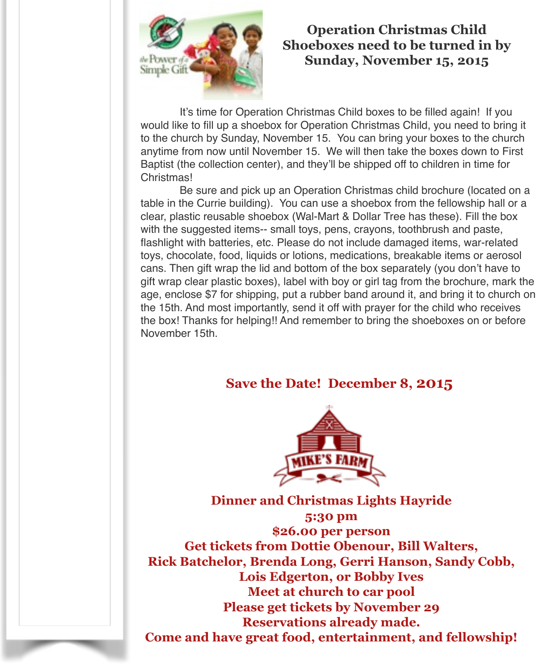

#### **Operation Christmas Child Shoeboxes need to be turned in by Sunday, November 15, 2015**

It's time for Operation Christmas Child boxes to be filled again! If you would like to fill up a shoebox for Operation Christmas Child, you need to bring it to the church by Sunday, November 15. You can bring your boxes to the church anytime from now until November 15. We will then take the boxes down to First Baptist (the collection center), and they'll be shipped off to children in time for Christmas!

Be sure and pick up an Operation Christmas child brochure (located on a table in the Currie building). You can use a shoebox from the fellowship hall or a clear, plastic reusable shoebox (Wal-Mart & Dollar Tree has these). Fill the box with the suggested items-- small toys, pens, crayons, toothbrush and paste, flashlight with batteries, etc. Please do not include damaged items, war-related toys, chocolate, food, liquids or lotions, medications, breakable items or aerosol cans. Then gift wrap the lid and bottom of the box separately (you don't have to gift wrap clear plastic boxes), label with boy or girl tag from the brochure, mark the age, enclose \$7 for shipping, put a rubber band around it, and bring it to church on the 15th. And most importantly, send it off with prayer for the child who receives the box! Thanks for helping!! And remember to bring the shoeboxes on or before November 15th.

#### **Save the Date! December 8, 2015**



**Dinner and Christmas Lights Hayride 5:30 pm \$26.00 per person Get tickets from Dottie Obenour, Bill Walters, Rick Batchelor, Brenda Long, Gerri Hanson, Sandy Cobb, Lois Edgerton, or Bobby Ives Meet at church to car pool Please get tickets by November 29 Reservations already made. Come and have great food, entertainment, and fellowship!**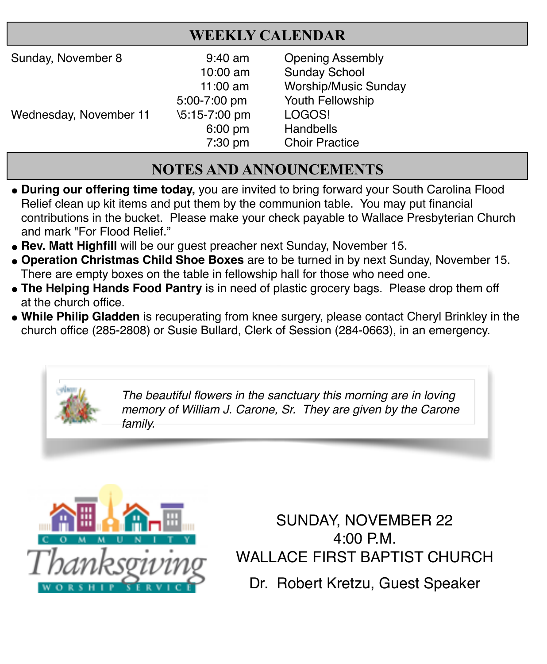## **WEEKLY CALENDAR**

| Sunday, November 8     | $9:40$ am     | <b>Opening Assembly</b>     |
|------------------------|---------------|-----------------------------|
|                        | 10:00 am      | <b>Sunday School</b>        |
|                        | 11:00 $am$    | <b>Worship/Music Sunday</b> |
|                        | 5:00-7:00 pm  | Youth Fellowship            |
| Wednesday, November 11 | \5:15-7:00 pm | LOGOS!                      |
|                        | $6:00$ pm     | Handbells                   |
|                        | 7:30 pm       | <b>Choir Practice</b>       |

# **NOTES AND ANNOUNCEMENTS**

- **# During our offering time today,** you are invited to bring forward your South Carolina Flood Relief clean up kit items and put them by the communion table. You may put financial contributions in the bucket. Please make your check payable to Wallace Presbyterian Church and mark "For Flood Relief."
- **Rev. Matt Highfill** will be our quest preacher next Sunday, November 15.
- **# Operation Christmas Child Shoe Boxes** are to be turned in by next Sunday, November 15. There are empty boxes on the table in fellowship hall for those who need one.
- **# The Helping Hands Food Pantry** is in need of plastic grocery bags. Please drop them off at the church office.
- **# While Philip Gladden** is recuperating from knee surgery, please contact Cheryl Brinkley in the church office (285-2808) or Susie Bullard, Clerk of Session (284-0663), in an emergency.



*The beautiful flowers in the sanctuary this morning are in loving memory of William J. Carone, Sr. They are given by the Carone family.*



SUNDAY, NOVEMBER 22 4:00 P.M. WALLACE FIRST BAPTIST CHURCH Dr. Robert Kretzu, Guest Speaker